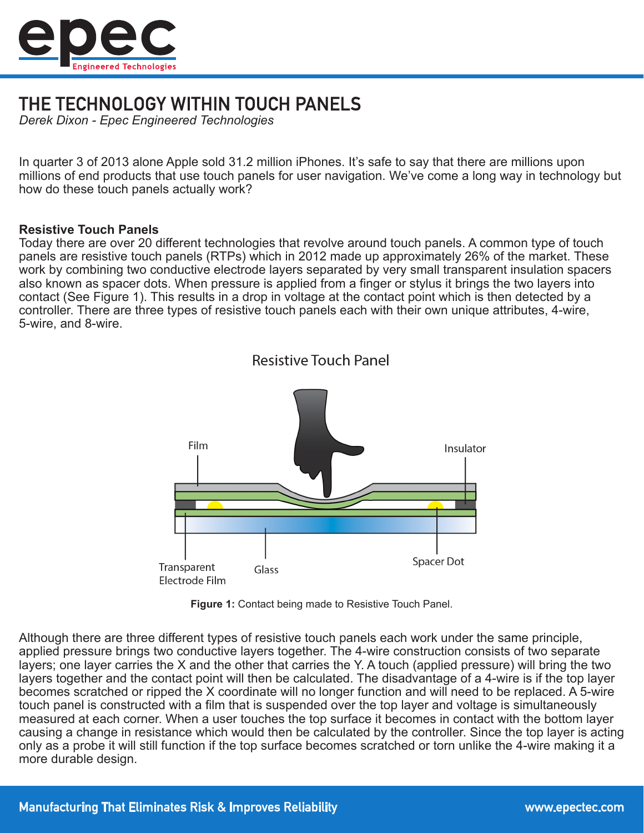

# THE TECHNOLOGY WITHIN TOUCH PANELS

*Derek Dixon - Epec Engineered Technologies*

In quarter 3 of 2013 alone Apple sold 31.2 million iPhones. It's safe to say that there are millions upon millions of end products that use touch panels for user navigation. We've come a long way in technology but how do these touch panels actually work?

## **Resistive Touch Panels**

Today there are over 20 different technologies that revolve around touch panels. A common type of touch panels are resistive touch panels (RTPs) which in 2012 made up approximately 26% of the market. These work by combining two conductive electrode layers separated by very small transparent insulation spacers also known as spacer dots. When pressure is applied from a finger or stylus it brings the two layers into contact (See Figure 1). This results in a drop in voltage at the contact point which is then detected by a controller. There are three types of resistive touch panels each with their own unique attributes, 4-wire, 5-wire, and 8-wire.



**Resistive Touch Panel** 

**Figure 1:** Contact being made to Resistive Touch Panel.

Although there are three different types of resistive touch panels each work under the same principle, applied pressure brings two conductive layers together. The 4-wire construction consists of two separate layers; one layer carries the X and the other that carries the Y. A touch (applied pressure) will bring the two layers together and the contact point will then be calculated. The disadvantage of a 4-wire is if the top layer becomes scratched or ripped the X coordinate will no longer function and will need to be replaced. A 5-wire touch panel is constructed with a film that is suspended over the top layer and voltage is simultaneously measured at each corner. When a user touches the top surface it becomes in contact with the bottom layer causing a change in resistance which would then be calculated by the controller. Since the top layer is acting only as a probe it will still function if the top surface becomes scratched or torn unlike the 4-wire making it a more durable design.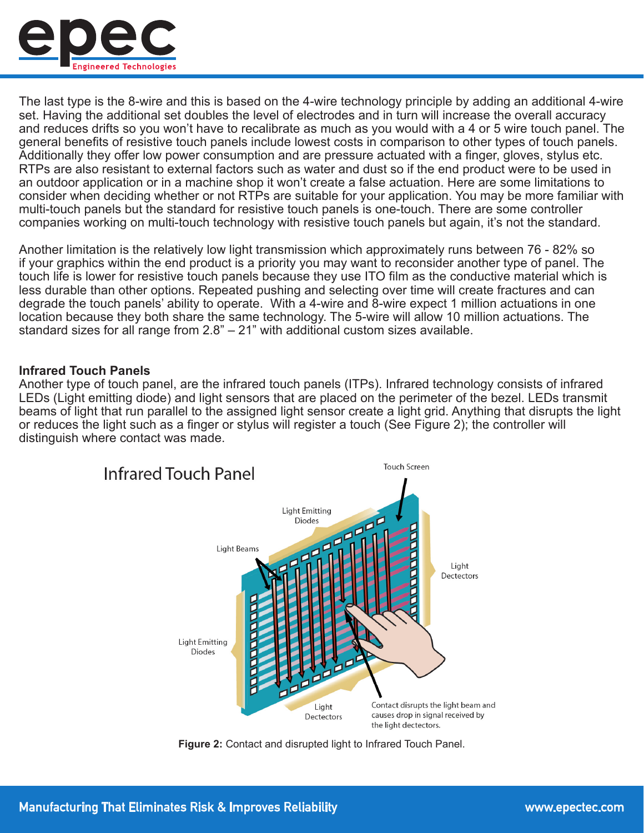

The last type is the 8-wire and this is based on the 4-wire technology principle by adding an additional 4-wire set. Having the additional set doubles the level of electrodes and in turn will increase the overall accuracy and reduces drifts so you won't have to recalibrate as much as you would with a 4 or 5 wire touch panel. The general benefits of resistive touch panels include lowest costs in comparison to other types of touch panels. Additionally they offer low power consumption and are pressure actuated with a finger, gloves, stylus etc. RTPs are also resistant to external factors such as water and dust so if the end product were to be used in an outdoor application or in a machine shop it won't create a false actuation. Here are some limitations to consider when deciding whether or not RTPs are suitable for your application. You may be more familiar with multi-touch panels but the standard for resistive touch panels is one-touch. There are some controller companies working on multi-touch technology with resistive touch panels but again, it's not the standard.

Another limitation is the relatively low light transmission which approximately runs between 76 - 82% so if your graphics within the end product is a priority you may want to reconsider another type of panel. The touch life is lower for resistive touch panels because they use ITO film as the conductive material which is less durable than other options. Repeated pushing and selecting over time will create fractures and can degrade the touch panels' ability to operate. With a 4-wire and 8-wire expect 1 million actuations in one location because they both share the same technology. The 5-wire will allow 10 million actuations. The standard sizes for all range from 2.8" – 21" with additional custom sizes available.

#### **Infrared Touch Panels**

Another type of touch panel, are the infrared touch panels (ITPs). Infrared technology consists of infrared LEDs (Light emitting diode) and light sensors that are placed on the perimeter of the bezel. LEDs transmit beams of light that run parallel to the assigned light sensor create a light grid. Anything that disrupts the light or reduces the light such as a finger or stylus will register a touch (See Figure 2); the controller will distinguish where contact was made.



**Figure 2:** Contact and disrupted light to Infrared Touch Panel.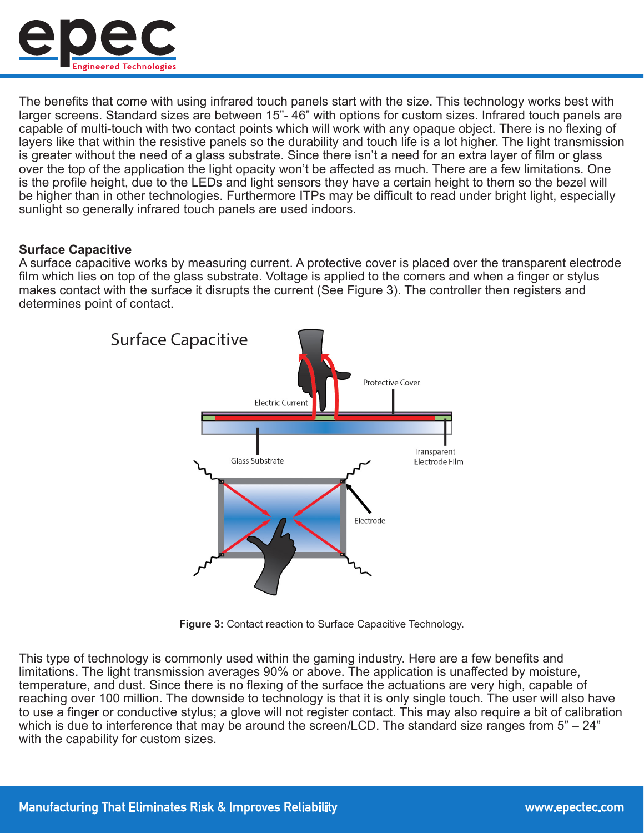

The benefits that come with using infrared touch panels start with the size. This technology works best with larger screens. Standard sizes are between 15"- 46" with options for custom sizes. Infrared touch panels are capable of multi-touch with two contact points which will work with any opaque object. There is no flexing of layers like that within the resistive panels so the durability and touch life is a lot higher. The light transmission is greater without the need of a glass substrate. Since there isn't a need for an extra layer of film or glass over the top of the application the light opacity won't be affected as much. There are a few limitations. One is the profile height, due to the LEDs and light sensors they have a certain height to them so the bezel will be higher than in other technologies. Furthermore ITPs may be difficult to read under bright light, especially sunlight so generally infrared touch panels are used indoors.

## **Surface Capacitive**

A surface capacitive works by measuring current. A protective cover is placed over the transparent electrode film which lies on top of the glass substrate. Voltage is applied to the corners and when a finger or stylus makes contact with the surface it disrupts the current (See Figure 3). The controller then registers and determines point of contact.



**Figure 3:** Contact reaction to Surface Capacitive Technology.

This type of technology is commonly used within the gaming industry. Here are a few benefits and limitations. The light transmission averages 90% or above. The application is unaffected by moisture, temperature, and dust. Since there is no flexing of the surface the actuations are very high, capable of reaching over 100 million. The downside to technology is that it is only single touch. The user will also have to use a finger or conductive stylus; a glove will not register contact. This may also require a bit of calibration which is due to interference that may be around the screen/LCD. The standard size ranges from 5" – 24" with the capability for custom sizes.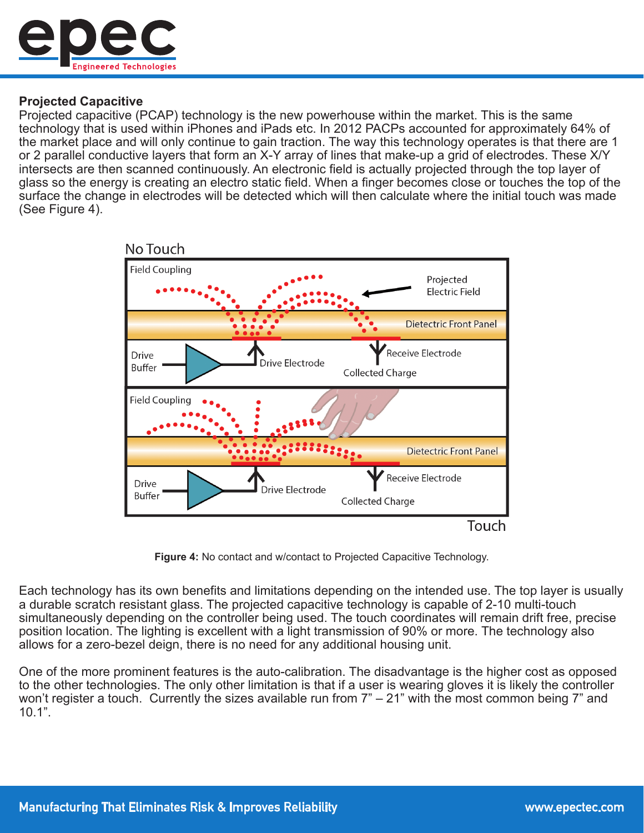

## **Projected Capacitive**

Projected capacitive (PCAP) technology is the new powerhouse within the market. This is the same technology that is used within iPhones and iPads etc. In 2012 PACPs accounted for approximately 64% of the market place and will only continue to gain traction. The way this technology operates is that there are 1 or 2 parallel conductive layers that form an X-Y array of lines that make-up a grid of electrodes. These X/Y intersects are then scanned continuously. An electronic field is actually projected through the top layer of glass so the energy is creating an electro static field. When a finger becomes close or touches the top of the surface the change in electrodes will be detected which will then calculate where the initial touch was made (See Figure 4).



**Figure 4:** No contact and w/contact to Projected Capacitive Technology.

Each technology has its own benefits and limitations depending on the intended use. The top layer is usually a durable scratch resistant glass. The projected capacitive technology is capable of 2-10 multi-touch simultaneously depending on the controller being used. The touch coordinates will remain drift free, precise position location. The lighting is excellent with a light transmission of 90% or more. The technology also allows for a zero-bezel deign, there is no need for any additional housing unit.

One of the more prominent features is the auto-calibration. The disadvantage is the higher cost as opposed to the other technologies. The only other limitation is that if a user is wearing gloves it is likely the controller won't register a touch. Currently the sizes available run from 7" – 21" with the most common being 7" and 10.1".